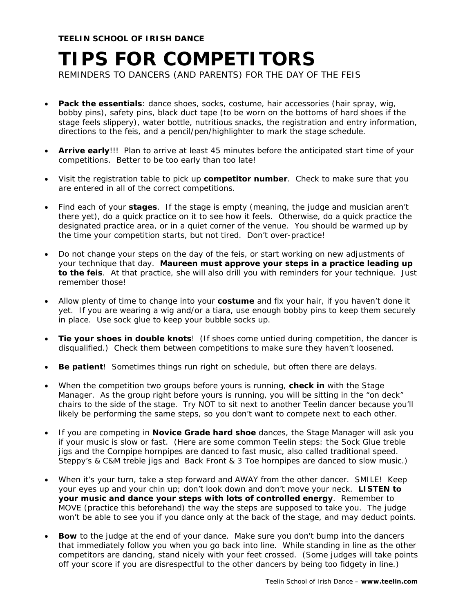**TEELIN SCHOOL OF IRISH DANCE** 

## **TIPS FOR COMPETITORS**

REMINDERS TO DANCERS (AND PARENTS) FOR THE DAY OF THE FEIS

- **Pack the essentials**: dance shoes, socks, costume, hair accessories (hair spray, wig, bobby pins), safety pins, black duct tape (to be worn on the bottoms of hard shoes if the stage feels slippery), water bottle, nutritious snacks, the registration and entry information, directions to the feis, and a pencil/pen/highlighter to mark the stage schedule.
- **Arrive early**!!! Plan to arrive at least 45 minutes before the anticipated start time of your competitions. Better to be too early than too late!
- Visit the registration table to pick up **competitor number**. Check to make sure that you are entered in all of the correct competitions.
- Find each of your **stages**. If the stage is empty (meaning, the judge and musician aren't there yet), do a quick practice on it to see how it feels. Otherwise, do a quick practice the designated practice area, or in a quiet corner of the venue. You should be warmed up by the time your competition starts, but not tired. Don't over-practice!
- Do not change your steps on the day of the feis, or start working on new adjustments of your technique that day. **Maureen must approve your steps in a practice leading up to the feis**. At that practice, she will also drill you with reminders for your technique. Just remember those!
- Allow plenty of time to change into your **costume** and fix your hair, if you haven't done it yet. If you are wearing a wig and/or a tiara, use enough bobby pins to keep them securely in place. Use sock glue to keep your bubble socks up.
- **Tie your shoes in double knots**! (If shoes come untied during competition, the dancer is disqualified.) Check them between competitions to make sure they haven't loosened.
- **Be patient**! Sometimes things run right on schedule, but often there are delays.
- When the competition two groups before yours is running, **check in** with the Stage Manager. As the group right before yours is running, you will be sitting in the "on deck" chairs to the side of the stage. Try NOT to sit next to another Teelin dancer because you'll likely be performing the same steps, so you don't want to compete next to each other.
- If you are competing in **Novice Grade hard shoe** dances, the Stage Manager will ask you if your music is slow or fast. (Here are some common Teelin steps: the Sock Glue treble jigs and the Cornpipe hornpipes are danced to fast music, also called traditional speed. Steppy's & C&M treble jigs and Back Front & 3 Toe hornpipes are danced to slow music.)
- When it's your turn, take a step forward and AWAY from the other dancer. SMILE! Keep your eyes up and your chin up; don't look down and don't move your neck. **LISTEN to your music and dance your steps with lots of controlled energy**. Remember to MOVE (practice this beforehand) the way the steps are supposed to take you. The judge won't be able to see you if you dance only at the back of the stage, and may deduct points.
- **Bow** to the judge at the end of your dance. Make sure you don't bump into the dancers that immediately follow you when you go back into line. While standing in line as the other competitors are dancing, stand nicely with your feet crossed. (Some judges will take points off your score if you are disrespectful to the other dancers by being too fidgety in line.)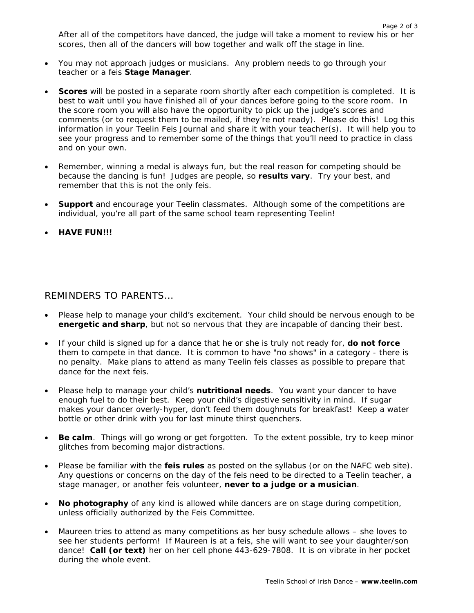After all of the competitors have danced, the judge will take a moment to review his or her scores, then all of the dancers will bow together and walk off the stage in line.

- You may not approach judges or musicians. Any problem needs to go through your teacher or a feis **Stage Manager**.
- **Scores** will be posted in a separate room shortly after each competition is completed. It is best to wait until you have finished all of your dances before going to the score room. In the score room you will also have the opportunity to pick up the judge's scores and comments (or to request them to be mailed, if they're not ready). Please do this! Log this information in your Teelin Feis Journal and share it with your teacher(s). It will help you to see your progress and to remember some of the things that you'll need to practice in class and on your own.
- Remember, winning a medal is always fun, but the real reason for competing should be because the dancing is fun! Judges are people, so **results vary**. Try your best, and remember that this is not the only feis.
- **Support** and encourage your Teelin classmates. Although some of the competitions are individual, you're all part of the same school team representing Teelin!
- **HAVE FUN!!!**

## REMINDERS TO PARENTS…

- Please help to manage your child's excitement. Your child should be nervous enough to be **energetic and sharp**, but not so nervous that they are incapable of dancing their best.
- If your child is signed up for a dance that he or she is truly not ready for, **do not force** them to compete in that dance. It is common to have "no shows" in a category - there is no penalty. Make plans to attend as many Teelin feis classes as possible to prepare that dance for the next feis.
- Please help to manage your child's **nutritional needs**. You want your dancer to have enough fuel to do their best. Keep your child's digestive sensitivity in mind. If sugar makes your dancer overly-hyper, don't feed them doughnuts for breakfast! Keep a water bottle or other drink with you for last minute thirst quenchers.
- **Be calm**. Things will go wrong or get forgotten. To the extent possible, try to keep minor glitches from becoming major distractions.
- Please be familiar with the **feis rules** as posted on the syllabus (or on the NAFC web site). Any questions or concerns on the day of the feis need to be directed to a Teelin teacher, a stage manager, or another feis volunteer, **never to a judge or a musician**.
- **No photography** of any kind is allowed while dancers are on stage during competition, unless officially authorized by the Feis Committee.
- Maureen tries to attend as many competitions as her busy schedule allows she loves to see her students perform! If Maureen is at a feis, she will want to see your daughter/son dance! **Call (or text)** her on her cell phone 443-629-7808. It is on vibrate in her pocket during the whole event.